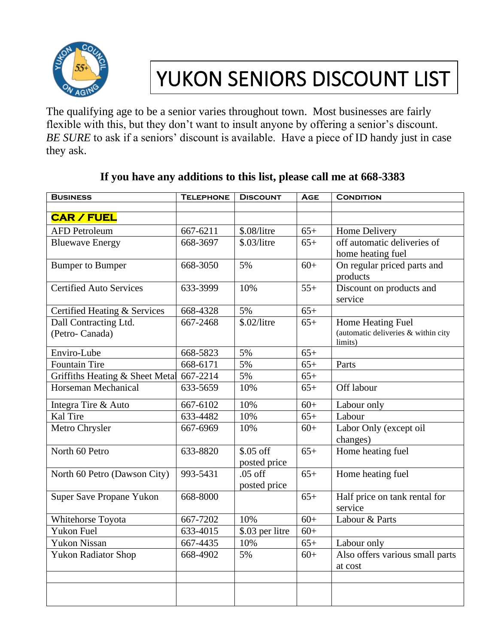

## YUKON SENIORS DISCOUNT LIST

The qualifying age to be a senior varies throughout town. Most businesses are fairly flexible with this, but they don't want to insult anyone by offering a senior's discount. *BE SURE* to ask if a seniors' discount is available. Have a piece of ID handy just in case they ask.

| <b>BUSINESS</b>                         | <b>TELEPHONE</b> | <b>DISCOUNT</b>            | <b>AGE</b> | <b>CONDITION</b>                                                    |
|-----------------------------------------|------------------|----------------------------|------------|---------------------------------------------------------------------|
|                                         |                  |                            |            |                                                                     |
| <b>CAR / FUEL</b>                       |                  |                            |            |                                                                     |
| <b>AFD Petroleum</b>                    | 667-6211         | \$.08/litre                | $65+$      | Home Delivery                                                       |
| <b>Bluewave Energy</b>                  | 668-3697         | \$.03/litre                | $65+$      | off automatic deliveries of<br>home heating fuel                    |
| <b>Bumper to Bumper</b>                 | 668-3050         | 5%                         | $60+$      | On regular priced parts and<br>products                             |
| <b>Certified Auto Services</b>          | 633-3999         | 10%                        | $55+$      | Discount on products and<br>service                                 |
| Certified Heating & Services            | 668-4328         | 5%                         | $65+$      |                                                                     |
| Dall Contracting Ltd.<br>(Petro-Canada) | 667-2468         | \$.02/litre                | $65+$      | Home Heating Fuel<br>(automatic deliveries & within city<br>limits) |
| Enviro-Lube                             | 668-5823         | 5%                         | $65+$      |                                                                     |
| <b>Fountain Tire</b>                    | 668-6171         | 5%                         | $65+$      | Parts                                                               |
| Griffiths Heating & Sheet Metal         | 667-2214         | 5%                         | $65+$      |                                                                     |
| Horseman Mechanical                     | 633-5659         | 10%                        | $65+$      | Off labour                                                          |
| Integra Tire & Auto                     | 667-6102         | 10%                        | $60+$      | Labour only                                                         |
| Kal Tire                                | 633-4482         | 10%                        | $65+$      | Labour                                                              |
| Metro Chrysler                          | 667-6969         | 10%                        | $60+$      | Labor Only (except oil<br>changes)                                  |
| North 60 Petro                          | 633-8820         | $$.05$ off<br>posted price | $65+$      | Home heating fuel                                                   |
| North 60 Petro (Dawson City)            | 993-5431         | $.05$ off<br>posted price  | $65+$      | Home heating fuel                                                   |
| Super Save Propane Yukon                | 668-8000         |                            | $65+$      | Half price on tank rental for<br>service                            |
| Whitehorse Toyota                       | 667-7202         | 10%                        | $60+$      | Labour & Parts                                                      |
| <b>Yukon Fuel</b>                       | 633-4015         | \$.03 per litre            | $60+$      |                                                                     |
| Yukon Nissan                            | 667-4435         | 10%                        | $65+$      | Labour only                                                         |
| <b>Yukon Radiator Shop</b>              | 668-4902         | 5%                         | $60+$      | Also offers various small parts<br>at cost                          |
|                                         |                  |                            |            |                                                                     |
|                                         |                  |                            |            |                                                                     |

## **If you have any additions to this list, please call me at 668-3383**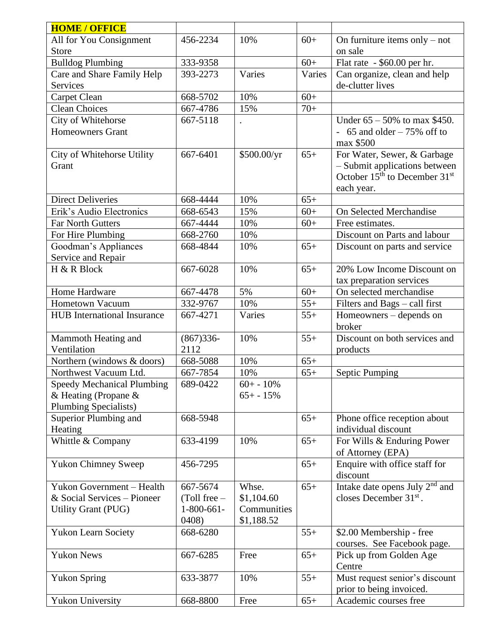| <b>HOME / OFFICE</b>               |                |              |        |                                                       |
|------------------------------------|----------------|--------------|--------|-------------------------------------------------------|
| All for You Consignment            | 456-2234       | 10%          | $60+$  | On furniture items only $-$ not                       |
| <b>Store</b>                       |                |              |        | on sale                                               |
| <b>Bulldog Plumbing</b>            | 333-9358       |              | $60+$  | Flat rate - \$60.00 per hr.                           |
| Care and Share Family Help         | 393-2273       | Varies       | Varies | Can organize, clean and help                          |
| <b>Services</b>                    |                |              |        | de-clutter lives                                      |
| Carpet Clean                       | 668-5702       | 10%          | $60+$  |                                                       |
| <b>Clean Choices</b>               | 667-4786       | 15%          | $70+$  |                                                       |
| City of Whitehorse                 | 667-5118       |              |        | Under $65 - 50\%$ to max \$450.                       |
| <b>Homeowners Grant</b>            |                |              |        | $-65$ and older $-75\%$ off to                        |
|                                    |                |              |        | max \$500                                             |
| City of Whitehorse Utility         | 667-6401       | \$500.00/yr  | $65+$  | For Water, Sewer, & Garbage                           |
| Grant                              |                |              |        | - Submit applications between                         |
|                                    |                |              |        | October 15 <sup>th</sup> to December 31 <sup>st</sup> |
|                                    |                |              |        | each year.                                            |
| <b>Direct Deliveries</b>           | 668-4444       | 10%          | $65+$  |                                                       |
| Erik's Audio Electronics           | 668-6543       | 15%          | $60+$  | On Selected Merchandise                               |
| <b>Far North Gutters</b>           | 667-4444       | 10%          | $60+$  | Free estimates.                                       |
| For Hire Plumbing                  | 668-2760       | 10%          |        | Discount on Parts and labour                          |
| Goodman's Appliances               | 668-4844       | 10%          | $65+$  | Discount on parts and service                         |
| Service and Repair                 |                |              |        |                                                       |
| H & R Block                        | 667-6028       | 10%          | $65+$  | 20% Low Income Discount on                            |
|                                    |                |              |        | tax preparation services                              |
| Home Hardware                      | 667-4478       | 5%           | $60+$  | On selected merchandise                               |
| Hometown Vacuum                    | 332-9767       | 10%          | $55+$  | Filters and Bags - call first                         |
| <b>HUB</b> International Insurance | 667-4271       | Varies       | $55+$  | Homeowners – depends on                               |
|                                    |                |              |        | broker                                                |
| Mammoth Heating and                | $(867)336-$    | 10%          | $55+$  | Discount on both services and                         |
| Ventilation                        | 2112           |              |        | products                                              |
| Northern (windows & doors)         | 668-5088       | 10%          | $65+$  |                                                       |
| Northwest Vacuum Ltd.              | 667-7854       | 10%          | $65+$  | <b>Septic Pumping</b>                                 |
| <b>Speedy Mechanical Plumbing</b>  | 689-0422       | $60+ - 10\%$ |        |                                                       |
| & Heating (Propane &               |                | $65+ - 15%$  |        |                                                       |
| <b>Plumbing Specialists)</b>       |                |              |        |                                                       |
| Superior Plumbing and              | 668-5948       |              | $65+$  | Phone office reception about                          |
| Heating                            |                |              |        | individual discount                                   |
| Whittle & Company                  | 633-4199       | 10%          | $65+$  | For Wills & Enduring Power                            |
|                                    |                |              |        | of Attorney (EPA)                                     |
| <b>Yukon Chimney Sweep</b>         | 456-7295       |              | $65+$  | Enquire with office staff for                         |
|                                    |                |              |        | discount                                              |
| Yukon Government - Health          | 667-5674       | Whse.        | $65+$  | Intake date opens July 2 <sup>nd</sup> and            |
| & Social Services - Pioneer        | $(Toll free -$ | \$1,104.60   |        | closes December $31st$ .                              |
| Utility Grant (PUG)                | $1-800-661-$   | Communities  |        |                                                       |
|                                    | 0408)          | \$1,188.52   |        |                                                       |
| <b>Yukon Learn Society</b>         | 668-6280       |              | $55+$  | \$2.00 Membership - free                              |
|                                    |                |              |        | courses. See Facebook page.                           |
| <b>Yukon News</b>                  | 667-6285       | Free         | $65+$  | Pick up from Golden Age                               |
|                                    |                |              |        | Centre                                                |
| <b>Yukon Spring</b>                | 633-3877       | 10%          | $55+$  | Must request senior's discount                        |
|                                    |                |              |        | prior to being invoiced.                              |
| <b>Yukon University</b>            | 668-8800       | Free         | $65+$  | Academic courses free                                 |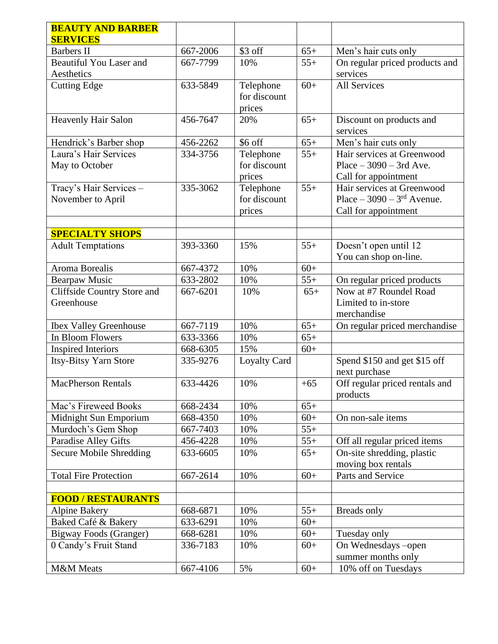| <b>BEAUTY AND BARBER</b>       |          |                     |       |                                      |
|--------------------------------|----------|---------------------|-------|--------------------------------------|
| <b>SERVICES</b>                |          |                     |       |                                      |
| <b>Barbers II</b>              | 667-2006 | \$3 off             | $65+$ | Men's hair cuts only                 |
| <b>Beautiful You Laser and</b> | 667-7799 | 10%                 | $55+$ | On regular priced products and       |
| Aesthetics                     |          |                     |       | services                             |
| <b>Cutting Edge</b>            | 633-5849 | Telephone           | $60+$ | <b>All Services</b>                  |
|                                |          | for discount        |       |                                      |
|                                |          | prices              |       |                                      |
| Heavenly Hair Salon            | 456-7647 | 20%                 | $65+$ | Discount on products and<br>services |
| Hendrick's Barber shop         | 456-2262 | \$6 off             | $65+$ | Men's hair cuts only                 |
| Laura's Hair Services          | 334-3756 | Telephone           | $55+$ | Hair services at Greenwood           |
| May to October                 |          | for discount        |       | Place $-3090 - 3rd$ Ave.             |
|                                |          | prices              |       | Call for appointment                 |
| Tracy's Hair Services -        | 335-3062 | Telephone           | $55+$ | Hair services at Greenwood           |
| November to April              |          | for discount        |       | Place $-3090 - 3rd$ Avenue.          |
|                                |          | prices              |       | Call for appointment                 |
|                                |          |                     |       |                                      |
| <b>SPECIALTY SHOPS</b>         |          |                     |       |                                      |
| <b>Adult Temptations</b>       | 393-3360 | 15%                 | $55+$ | Doesn't open until 12                |
|                                |          |                     |       | You can shop on-line.                |
| Aroma Borealis                 | 667-4372 | 10%                 | $60+$ |                                      |
| <b>Bearpaw Music</b>           | 633-2802 | 10%                 | $55+$ | On regular priced products           |
| Cliffside Country Store and    | 667-6201 | 10%                 | $65+$ | Now at #7 Roundel Road               |
| Greenhouse                     |          |                     |       | Limited to in-store                  |
|                                |          |                     |       | merchandise                          |
| <b>Ibex Valley Greenhouse</b>  | 667-7119 | 10%                 | $65+$ | On regular priced merchandise        |
| In Bloom Flowers               | 633-3366 | 10%                 | $65+$ |                                      |
| <b>Inspired Interiors</b>      | 668-6305 | 15%                 | $60+$ |                                      |
| <b>Itsy-Bitsy Yarn Store</b>   | 335-9276 | <b>Loyalty Card</b> |       | Spend \$150 and get \$15 off         |
|                                |          |                     |       | next purchase                        |
| <b>MacPherson Rentals</b>      | 633-4426 | 10%                 | $+65$ | Off regular priced rentals and       |
|                                |          |                     |       | products                             |
| Mac's Fireweed Books           | 668-2434 | 10%                 | $65+$ |                                      |
| Midnight Sun Emporium          | 668-4350 | 10%                 | $60+$ | On non-sale items                    |
| Murdoch's Gem Shop             | 667-7403 | 10%                 | $55+$ |                                      |
| Paradise Alley Gifts           | 456-4228 | 10%                 | $55+$ | Off all regular priced items         |
| <b>Secure Mobile Shredding</b> | 633-6605 | 10%                 | $65+$ | On-site shredding, plastic           |
|                                |          |                     |       | moving box rentals                   |
| <b>Total Fire Protection</b>   | 667-2614 | 10%                 | $60+$ | Parts and Service                    |
|                                |          |                     |       |                                      |
| <b>FOOD / RESTAURANTS</b>      |          |                     |       |                                      |
| <b>Alpine Bakery</b>           | 668-6871 | 10%                 | $55+$ | Breads only                          |
| Baked Café & Bakery            | 633-6291 | 10%                 | $60+$ |                                      |
| Bigway Foods (Granger)         | 668-6281 | 10%                 | $60+$ | Tuesday only                         |
| 0 Candy's Fruit Stand          | 336-7183 | 10%                 | $60+$ | On Wednesdays -open                  |
|                                |          |                     |       | summer months only                   |
| M&M Meats                      | 667-4106 | 5%                  | $60+$ | 10% off on Tuesdays                  |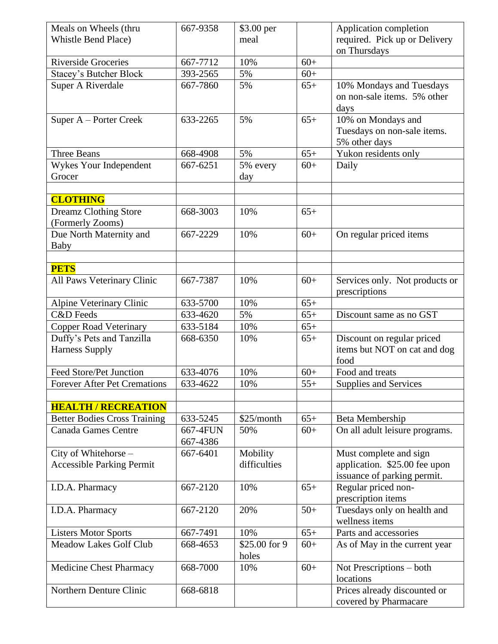| Meals on Wheels (thru                                        | 667-9358 | \$3.00 per    |       | Application completion                        |
|--------------------------------------------------------------|----------|---------------|-------|-----------------------------------------------|
| <b>Whistle Bend Place)</b>                                   |          | meal          |       | required. Pick up or Delivery                 |
|                                                              |          |               |       | on Thursdays                                  |
| <b>Riverside Groceries</b>                                   | 667-7712 | 10%           | $60+$ |                                               |
| <b>Stacey's Butcher Block</b>                                | 393-2565 | 5%            | $60+$ |                                               |
| Super A Riverdale                                            | 667-7860 | 5%            | $65+$ | 10% Mondays and Tuesdays                      |
|                                                              |          |               |       | on non-sale items. 5% other                   |
|                                                              |          |               |       | days                                          |
| Super A – Porter Creek                                       | 633-2265 | 5%            | $65+$ | 10% on Mondays and                            |
|                                                              |          |               |       | Tuesdays on non-sale items.                   |
|                                                              |          |               |       | 5% other days                                 |
| Three Beans                                                  | 668-4908 | 5%            | $65+$ | Yukon residents only                          |
| Wykes Your Independent                                       | 667-6251 | 5% every      | $60+$ | Daily                                         |
| Grocer                                                       |          | day           |       |                                               |
| <b>CLOTHING</b>                                              |          |               |       |                                               |
| <b>Dreamz Clothing Store</b>                                 | 668-3003 | 10%           | $65+$ |                                               |
| (Formerly Zooms)                                             |          |               |       |                                               |
| Due North Maternity and                                      | 667-2229 | 10%           | $60+$ | On regular priced items                       |
| Baby                                                         |          |               |       |                                               |
|                                                              |          |               |       |                                               |
| <b>PETS</b>                                                  |          |               |       |                                               |
| All Paws Veterinary Clinic                                   | 667-7387 | 10%           | $60+$ | Services only. Not products or                |
|                                                              |          |               |       | prescriptions                                 |
| Alpine Veterinary Clinic                                     | 633-5700 | 10%           | $65+$ |                                               |
| <b>C&amp;D</b> Feeds                                         | 633-4620 | 5%            | $65+$ | Discount same as no GST                       |
| <b>Copper Road Veterinary</b>                                | 633-5184 | 10%           | $65+$ |                                               |
| Duffy's Pets and Tanzilla                                    | 668-6350 | 10%           | $65+$ | Discount on regular priced                    |
| <b>Harness Supply</b>                                        |          |               |       | items but NOT on cat and dog                  |
|                                                              |          |               |       | food                                          |
| Feed Store/Pet Junction                                      | 633-4076 | 10%           | $60+$ | Food and treats                               |
| Forever After Pet Cremations                                 | 633-4622 | 10%           | $55+$ | <b>Supplies and Services</b>                  |
|                                                              |          |               |       |                                               |
| <b>HEALTH / RECREATION</b>                                   |          |               |       |                                               |
| <b>Better Bodies Cross Training</b>                          | 633-5245 | \$25/month    | $65+$ | Beta Membership                               |
| <b>Canada Games Centre</b>                                   | 667-4FUN | 50%           | $60+$ | On all adult leisure programs.                |
|                                                              | 667-4386 |               |       |                                               |
| City of Whitehorse -                                         | 667-6401 | Mobility      |       | Must complete and sign                        |
| <b>Accessible Parking Permit</b>                             |          | difficulties  |       | application. \$25.00 fee upon                 |
|                                                              |          |               |       | issuance of parking permit.                   |
| I.D.A. Pharmacy                                              | 667-2120 | 10%           | $65+$ | Regular priced non-                           |
|                                                              |          |               |       | prescription items                            |
| I.D.A. Pharmacy                                              | 667-2120 | 20%           | $50+$ | Tuesdays only on health and<br>wellness items |
|                                                              | 667-7491 | 10%           | $65+$ | Parts and accessories                         |
| <b>Listers Motor Sports</b><br><b>Meadow Lakes Golf Club</b> | 668-4653 | \$25.00 for 9 | $60+$ |                                               |
|                                                              |          | holes         |       | As of May in the current year                 |
| <b>Medicine Chest Pharmacy</b>                               | 668-7000 | 10%           | $60+$ | Not Prescriptions – both                      |
|                                                              |          |               |       | locations                                     |
| Northern Denture Clinic                                      | 668-6818 |               |       | Prices already discounted or                  |
|                                                              |          |               |       | covered by Pharmacare                         |
|                                                              |          |               |       |                                               |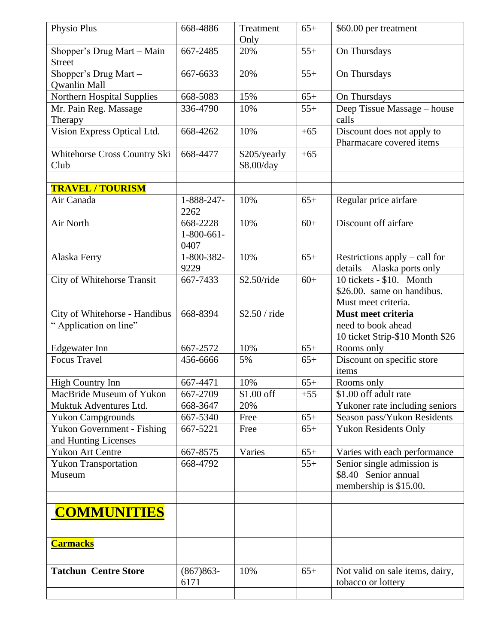| Physio Plus                                               | 668-4886                         | Treatment                  | $65+$ | \$60.00 per treatment                                                         |
|-----------------------------------------------------------|----------------------------------|----------------------------|-------|-------------------------------------------------------------------------------|
|                                                           |                                  | Only                       |       |                                                                               |
| Shopper's Drug Mart - Main<br><b>Street</b>               | 667-2485                         | 20%                        | $55+$ | On Thursdays                                                                  |
| Shopper's Drug Mart -<br><b>Qwanlin Mall</b>              | 667-6633                         | 20%                        | $55+$ | On Thursdays                                                                  |
| Northern Hospital Supplies                                | 668-5083                         | 15%                        | $65+$ | On Thursdays                                                                  |
| Mr. Pain Reg. Massage<br>Therapy                          | 336-4790                         | 10%                        | $55+$ | Deep Tissue Massage - house<br>calls                                          |
| Vision Express Optical Ltd.                               | 668-4262                         | 10%                        | $+65$ | Discount does not apply to<br>Pharmacare covered items                        |
| Whitehorse Cross Country Ski<br>Club                      | 668-4477                         | \$205/yearly<br>\$8.00/day | $+65$ |                                                                               |
|                                                           |                                  |                            |       |                                                                               |
| <b>TRAVEL / TOURISM</b>                                   |                                  |                            |       |                                                                               |
| Air Canada                                                | 1-888-247-<br>2262               | 10%                        | $65+$ | Regular price airfare                                                         |
| Air North                                                 | 668-2228<br>$1-800-661-$<br>0407 | 10%                        | $60+$ | Discount off airfare                                                          |
| Alaska Ferry                                              | 1-800-382-<br>9229               | 10%                        | $65+$ | Restrictions apply – call for<br>details – Alaska ports only                  |
| City of Whitehorse Transit                                | 667-7433                         | \$2.50/ride                | $60+$ | 10 tickets - \$10. Month<br>\$26.00. same on handibus.<br>Must meet criteria. |
| City of Whitehorse - Handibus<br>"Application on line"    | 668-8394                         | \$2.50 / ride              |       | Must meet criteria<br>need to book ahead<br>10 ticket Strip-\$10 Month \$26   |
| <b>Edgewater Inn</b>                                      | 667-2572                         | 10%                        | $65+$ | Rooms only                                                                    |
| <b>Focus Travel</b>                                       | 456-6666                         | 5%                         | $65+$ | Discount on specific store<br>items                                           |
| <b>High Country Inn</b>                                   | 667-4471                         | 10%                        | $65+$ | Rooms only                                                                    |
| MacBride Museum of Yukon                                  | 667-2709                         | \$1.00 off                 | $+55$ | \$1.00 off adult rate                                                         |
| Muktuk Adventures Ltd.                                    | 668-3647                         | 20%                        |       | Yukoner rate including seniors                                                |
| <b>Yukon Campgrounds</b>                                  | 667-5340                         | Free                       | $65+$ | Season pass/Yukon Residents                                                   |
| <b>Yukon Government - Fishing</b><br>and Hunting Licenses | 667-5221                         | Free                       | $65+$ | <b>Yukon Residents Only</b>                                                   |
| <b>Yukon Art Centre</b>                                   | 667-8575                         | Varies                     | $65+$ | Varies with each performance                                                  |
| <b>Yukon Transportation</b><br>Museum                     | 668-4792                         |                            | $55+$ | Senior single admission is<br>\$8.40 Senior annual<br>membership is \$15.00.  |
| <b>COMMUNITIES</b>                                        |                                  |                            |       |                                                                               |
| <b>Carmacks</b>                                           |                                  |                            |       |                                                                               |
| <b>Tatchun Centre Store</b>                               | $(867)863-$<br>6171              | 10%                        | $65+$ | Not valid on sale items, dairy,<br>tobacco or lottery                         |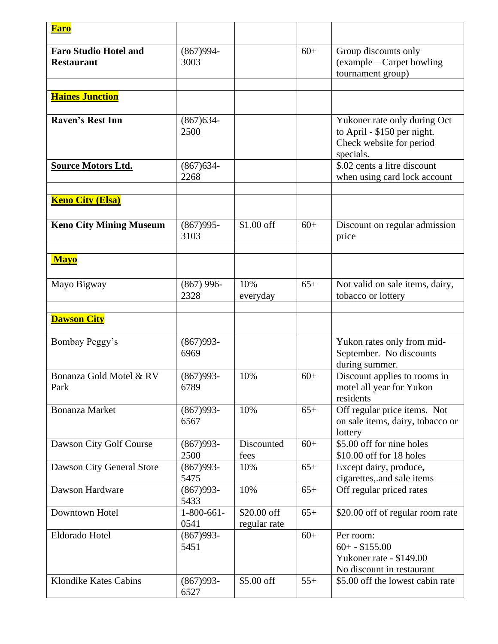| <b>Faro</b>                                       |                      |                             |       |                                                                                                      |
|---------------------------------------------------|----------------------|-----------------------------|-------|------------------------------------------------------------------------------------------------------|
| <b>Faro Studio Hotel and</b><br><b>Restaurant</b> | $(867)994-$<br>3003  |                             | $60+$ | Group discounts only<br>(example – Carpet bowling<br>tournament group)                               |
|                                                   |                      |                             |       |                                                                                                      |
| <b>Haines Junction</b>                            |                      |                             |       |                                                                                                      |
| <b>Raven's Rest Inn</b>                           | $(867)634-$<br>2500  |                             |       | Yukoner rate only during Oct<br>to April - \$150 per night.<br>Check website for period<br>specials. |
| <b>Source Motors Ltd.</b>                         | $(867)634-$<br>2268  |                             |       | \$.02 cents a litre discount<br>when using card lock account                                         |
| <b>Keno City (Elsa)</b>                           |                      |                             |       |                                                                                                      |
| <b>Keno City Mining Museum</b>                    | $(867)995-$<br>3103  | $$1.00$ off                 | $60+$ | Discount on regular admission<br>price                                                               |
| <b>Mayo</b>                                       |                      |                             |       |                                                                                                      |
| Mayo Bigway                                       | $(867)$ 996-<br>2328 | 10%<br>everyday             | $65+$ | Not valid on sale items, dairy,<br>tobacco or lottery                                                |
| <b>Dawson City</b>                                |                      |                             |       |                                                                                                      |
| Bombay Peggy's                                    | $(867)993-$<br>6969  |                             |       | Yukon rates only from mid-<br>September. No discounts<br>during summer.                              |
| Bonanza Gold Motel & RV<br>Park                   | $(867)993-$<br>6789  | 10%                         | $60+$ | Discount applies to rooms in<br>motel all year for Yukon<br>residents                                |
| <b>Bonanza Market</b>                             | $(867)993-$<br>6567  | 10%                         | $65+$ | Off regular price items. Not<br>on sale items, dairy, tobacco or<br>lottery                          |
| Dawson City Golf Course                           | $(867)993-$<br>2500  | Discounted<br>fees          | $60+$ | \$5.00 off for nine holes<br>\$10.00 off for 18 holes                                                |
| Dawson City General Store                         | $(867)993-$<br>5475  | 10%                         | $65+$ | Except dairy, produce,<br>cigarettes, and sale items                                                 |
| Dawson Hardware                                   | $(867)993-$<br>5433  | 10%                         | $65+$ | Off regular priced rates                                                                             |
| Downtown Hotel                                    | $1-800-661-$<br>0541 | \$20.00 off<br>regular rate | $65+$ | \$20.00 off of regular room rate                                                                     |
| Eldorado Hotel                                    | $(867)993-$<br>5451  |                             | $60+$ | Per room:<br>$60 + - $155.00$<br>Yukoner rate - \$149.00<br>No discount in restaurant                |
| <b>Klondike Kates Cabins</b>                      | $(867)993-$<br>6527  | \$5.00 off                  | $55+$ | \$5.00 off the lowest cabin rate                                                                     |